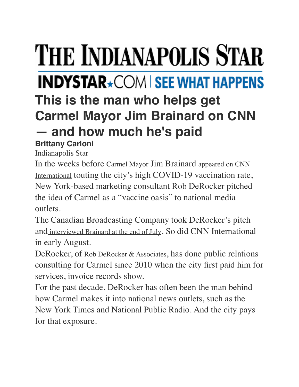## **THE INDIANAPOLIS STAR INDYSTAR**\*COM | SEE WHAT HAPPENS **This is the man who helps get Carmel Mayor Jim Brainard on CNN — and how much he's paid [Brittany Carloni](https://www.indystar.com/staff/2648304001/brittany-carloni/)**

Indianapolis Star

In the weeks before [Carmel Mayor](https://www.carmel.in.gov/our-government/mayor) Jim Brainard appeared on CNN [International](https://edition.cnn.com/videos/tv/2021/08/05/amanpour-indiana-vaccination-rate-james-brainard.cnn) touting the city's high COVID-19 vaccination rate, New York-based marketing consultant Rob DeRocker pitched the idea of Carmel as a "vaccine oasis" to national media outlets.

The Canadian Broadcasting Company took DeRocker's pitch and [interviewed Brainard at the end of July.](https://www.youtube.com/watch?v=XIqND1s-I6Q) So did CNN International in early August.

DeRocker, of [Rob DeRocker & Associates,](https://www.robderocker.com/) has done public relations consulting for Carmel since 2010 when the city first paid him for services, invoice records show.

For the past decade, DeRocker has often been the man behind how Carmel makes it into national news outlets, such as the New York Times and National Public Radio. And the city pays for that exposure.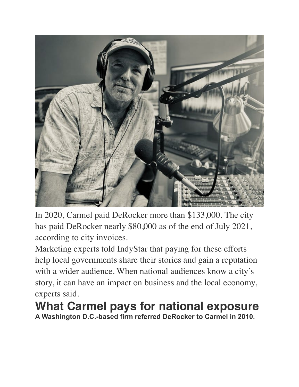

In 2020, Carmel paid DeRocker more than \$133,000. The city has paid DeRocker nearly \$80,000 as of the end of July 2021, according to city invoices.

Marketing experts told IndyStar that paying for these efforts help local governments share their stories and gain a reputation with a wider audience. When national audiences know a city's story, it can have an impact on business and the local economy, experts said.

**What Carmel pays for national exposure A Washington D.C.-based firm referred DeRocker to Carmel in 2010.**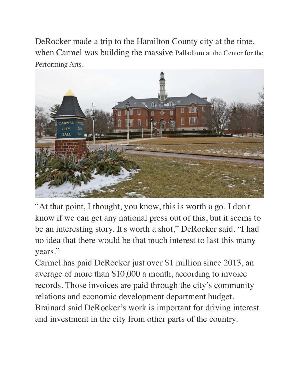DeRocker made a trip to the Hamilton County city at the time, when Carmel was building the massive Palladium at the Center for the [Performing Arts.](https://thecenterpresents.org/about/venues/the-palladium/)



"At that point, I thought, you know, this is worth a go. I don't know if we can get any national press out of this, but it seems to be an interesting story. It's worth a shot," DeRocker said. "I had no idea that there would be that much interest to last this many years."

Carmel has paid DeRocker just over \$1 million since 2013, an average of more than \$10,000 a month, according to invoice records. Those invoices are paid through the city's community relations and economic development department budget. Brainard said DeRocker's work is important for driving interest and investment in the city from other parts of the country.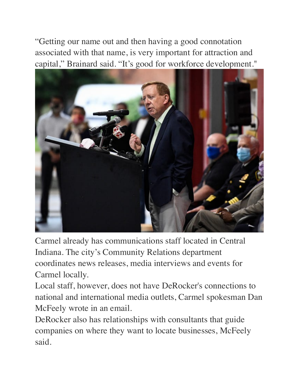"Getting our name out and then having a good connotation associated with that name, is very important for attraction and capital," Brainard said. "It's good for workforce development."



Carmel already has communications staff located in Central Indiana. The city's Community Relations department coordinates news releases, media interviews and events for Carmel locally.

Local staff, however, does not have DeRocker's connections to national and international media outlets, Carmel spokesman Dan McFeely wrote in an email.

DeRocker also has relationships with consultants that guide companies on where they want to locate businesses, McFeely said.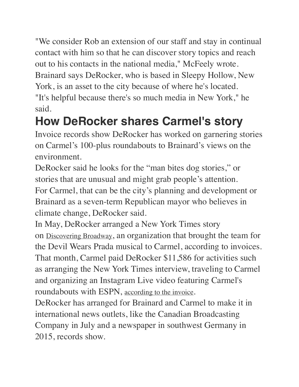"We consider Rob an extension of our staff and stay in continual contact with him so that he can discover story topics and reach out to his contacts in the national media," McFeely wrote. Brainard says DeRocker, who is based in Sleepy Hollow, New York, is an asset to the city because of where he's located. "It's helpful because there's so much media in New York," he said.

## **How DeRocker shares Carmel's story**

Invoice records show DeRocker has worked on garnering stories on Carmel's 100-plus roundabouts to Brainard's views on the environment.

DeRocker said he looks for the "man bites dog stories," or stories that are unusual and might grab people's attention. For Carmel, that can be the city's planning and development or Brainard as a seven-term Republican mayor who believes in climate change, DeRocker said.

In May, DeRocker arranged a New York Times story on [Discovering Broadway](https://www.discoveringbroadway.org/), an organization that brought the team for the Devil Wears Prada musical to Carmel, according to invoices. That month, Carmel paid DeRocker \$11,586 for activities such as arranging the New York Times interview, traveling to Carmel and organizing an Instagram Live video featuring Carmel's roundabouts with ESPN, [according to the invoice](http://cocdocs.carmel.in.gov/WebLink/DocView.aspx?id=1956182&dbid=0&repo=CityofCarmel&cr=1).

DeRocker has arranged for Brainard and Carmel to make it in international news outlets, like the Canadian Broadcasting Company in July and a newspaper in southwest Germany in 2015, records show.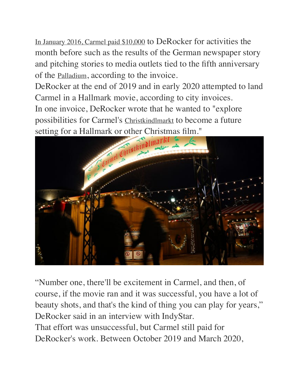[In January 2016, Carmel paid \\$10,000](http://cocdocs.carmel.in.gov/WebLink/DocView.aspx?id=1208762&dbid=0&repo=CityofCarmel) to DeRocker for activities the month before such as the results of the German newspaper story and pitching stories to media outlets tied to the fifth anniversary of the [Palladium](https://thecenterpresents.org/about/venues/the-palladium/), according to the invoice.

DeRocker at the end of 2019 and in early 2020 attempted to land Carmel in a Hallmark movie, according to city invoices.

In one invoice, DeRocker wrote that he wanted to "explore possibilities for Carmel's [Christkindlmarkt](https://www.carmelchristkindlmarkt.com/) to become a future setting for a Hallmark or other Christmas film."



"Number one, there'll be excitement in Carmel, and then, of course, if the movie ran and it was successful, you have a lot of beauty shots, and that's the kind of thing you can play for years," DeRocker said in an interview with IndyStar. That effort was unsuccessful, but Carmel still paid for DeRocker's work. Between October 2019 and March 2020,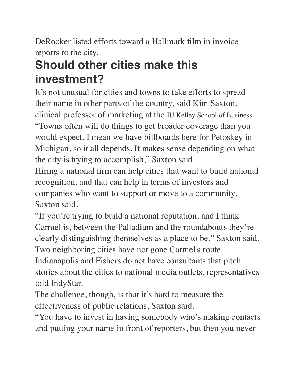DeRocker listed efforts toward a Hallmark film in invoice reports to the city.

## **Should other cities make this investment?**

It's not unusual for cities and towns to take efforts to spread their name in other parts of the country, said Kim Saxton, clinical professor of marketing at the [IU Kelley School of Business.](https://kelley.iu.edu/) "Towns often will do things to get broader coverage than you would expect, I mean we have billboards here for Petoskey in Michigan, so it all depends. It makes sense depending on what the city is trying to accomplish," Saxton said.

Hiring a national firm can help cities that want to build national recognition, and that can help in terms of investors and companies who want to support or move to a community, Saxton said.

"If you're trying to build a national reputation, and I think Carmel is, between the Palladium and the roundabouts they're clearly distinguishing themselves as a place to be," Saxton said. Two neighboring cities have not gone Carmel's route.

Indianapolis and Fishers do not have consultants that pitch stories about the cities to national media outlets, representatives told IndyStar.

The challenge, though, is that it's hard to measure the effectiveness of public relations, Saxton said.

"You have to invest in having somebody who's making contacts and putting your name in front of reporters, but then you never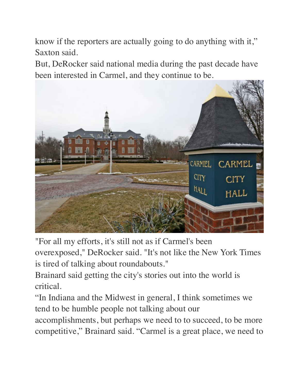know if the reporters are actually going to do anything with it," Saxton said.

But, DeRocker said national media during the past decade have been interested in Carmel, and they continue to be.



"For all my efforts, it's still not as if Carmel's been

overexposed," DeRocker said. "It's not like the New York Times is tired of talking about roundabouts."

Brainard said getting the city's stories out into the world is critical.

"In Indiana and the Midwest in general, I think sometimes we tend to be humble people not talking about our

accomplishments, but perhaps we need to to succeed, to be more competitive," Brainard said. "Carmel is a great place, we need to